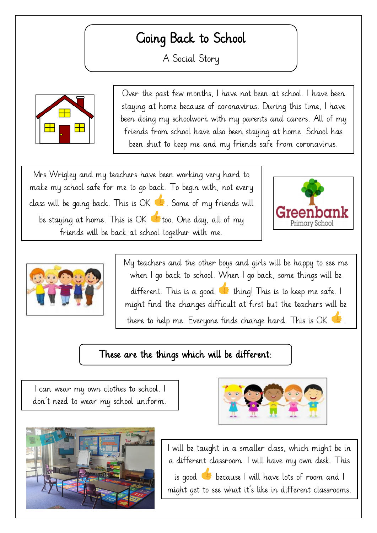## Going Back to School

A Social Story



Over the past few months, I have not been at school. I have been staying at home because of coronavirus. During this time, I have been doing my schoolwork with my parents and carers. All of my friends from school have also been staying at home. School has been shut to keep me and my friends safe from coronavirus.

Mrs Wrigley and my teachers have been working very hard to make my school safe for me to go back. To begin with, not every class will be going back. This is  $OK$   $\bullet$ . Some of my friends will be staying at home. This is OK  $\bullet$  too. One day, all of my friends will be back at school together with me.





My teachers and the other boys and girls will be happy to see me when I go back to school. When I go back, some things will be different. This is a good  $\bullet$  thing! This is to keep me safe. I might find the changes difficult at first but the teachers will be there to help me. Everyone finds change hard. This is OK  $\bullet$ .

 $\mathcal{O}(\mathcal{O})$  and  $\mathcal{O}(\mathcal{O})$  and  $\mathcal{O}(\mathcal{O})$  to gether with be back at school together with  $\mathcal{O}(\mathcal{O})$ 

## $\overline{\phantom{0}}$ These are the things which will be different:

I can wear my own clothes to school. I don't need to wear my school uniform.





I will be taught in a smaller class, which might be in a different classroom. I will have my own desk. This is good  $\bullet$  because I will have lots of room and I might get to see what it's like in different classrooms.